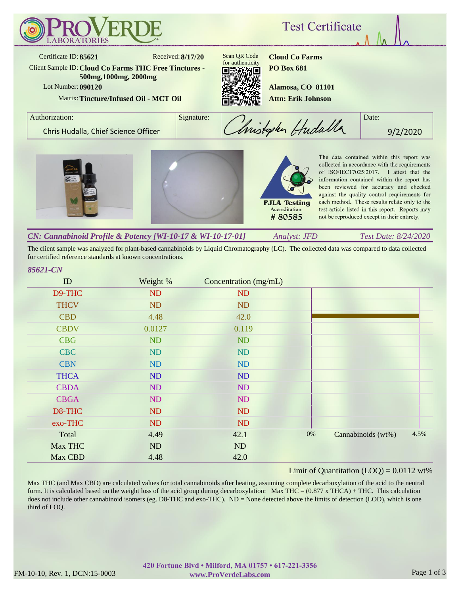

The client sample was analyzed for plant-based cannabinoids by Liquid Chromatography (LC). The collected data was compared to data collected for certified reference standards at known concentrations.

## *85621-CN*

| ID          | Weight %  | Concentration (mg/mL) |       |                    |      |
|-------------|-----------|-----------------------|-------|--------------------|------|
| D9-THC      | ND        | ND                    |       |                    |      |
| <b>THCV</b> | ND        | ND                    |       |                    |      |
| <b>CBD</b>  | 4.48      | 42.0                  |       |                    |      |
| <b>CBDV</b> | 0.0127    | 0.119                 |       |                    |      |
| <b>CBG</b>  | <b>ND</b> | ND                    |       |                    |      |
| <b>CBC</b>  | ND        | ND                    |       |                    |      |
| <b>CBN</b>  | ND        | ND                    |       |                    |      |
| <b>THCA</b> | ND        | ND                    |       |                    |      |
| <b>CBDA</b> | ND        | ND                    |       |                    |      |
| <b>CBGA</b> | ND        | ND                    |       |                    |      |
| D8-THC      | ND        | ND                    |       |                    |      |
| exo-THC     | ND        | ND                    |       |                    |      |
| Total       | 4.49      | 42.1                  | $0\%$ | Cannabinoids (wt%) | 4.5% |
| Max THC     | ND        | ND                    |       |                    |      |
| Max CBD     | 4.48      | 42.0                  |       |                    |      |

### Limit of Quantitation  $(LOO) = 0.0112$  wt%

Max THC (and Max CBD) are calculated values for total cannabinoids after heating, assuming complete decarboxylation of the acid to the neutral form. It is calculated based on the weight loss of the acid group during decarboxylation: Max THC =  $(0.877 \times THCA) + THC$ . This calculation does not include other cannabinoid isomers (eg. D8-THC and exo-THC). ND = None detected above the limits of detection (LOD), which is one third of LOQ.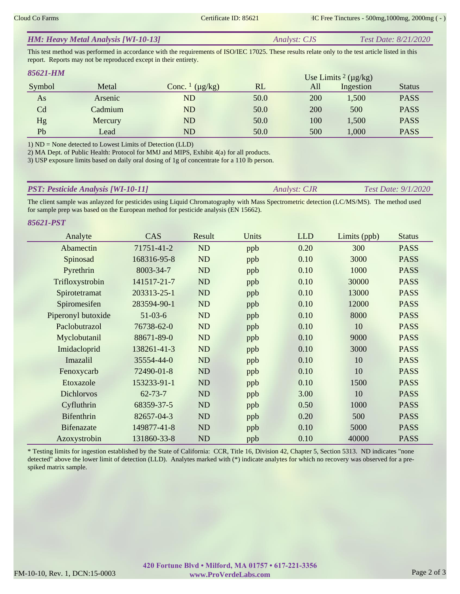| <b>HM: Heavy Metal Analysis [WI-10-13]</b><br>Test Date: 8/21/2020<br><i>Analyst: CJS</i> |
|-------------------------------------------------------------------------------------------|
|-------------------------------------------------------------------------------------------|

This test method was performed in accordance with the requirements of ISO/IEC 17025. These results relate only to the test article listed in this report. Reports may not be reproduced except in their entirety.

| 85621-HM |         |                                     |      |     | Use Limits $2 \, (\mu g/kg)$ |               |
|----------|---------|-------------------------------------|------|-----|------------------------------|---------------|
| Symbol   | Metal   | Conc. $\frac{1}{\mu}$ ( $\mu$ g/kg) | RL   | All | Ingestion                    | <b>Status</b> |
| As       | Arsenic | ND                                  | 50.0 | 200 | 1,500                        | <b>PASS</b>   |
| Cd       | Cadmium | ND                                  | 50.0 | 200 | 500                          | <b>PASS</b>   |
| Hg       | Mercury | ND                                  | 50.0 | 100 | 1,500                        | <b>PASS</b>   |
| Pb       | Lead    | ${\rm ND}$                          | 50.0 | 500 | 1,000                        | <b>PASS</b>   |

1) ND = None detected to Lowest Limits of Detection (LLD)

2) MA Dept. of Public Health: Protocol for MMJ and MIPS, Exhibit 4(a) for all products.

3) USP exposure limits based on daily oral dosing of 1g of concentrate for a 110 lb person.

| <b>PST: Pesticide Analysis [WI-10-11]</b> | <i>Analyst: CJR</i> | Test Date: $9/1/2020$ |
|-------------------------------------------|---------------------|-----------------------|
|                                           |                     |                       |

The client sample was anlayzed for pesticides using Liquid Chromatography with Mass Spectrometric detection (LC/MS/MS). The method used for sample prep was based on the European method for pesticide analysis (EN 15662).

*85621-PST*

| Analyte            | CAS           | Result    | Units | <b>LLD</b> | Limits (ppb) | <b>Status</b> |
|--------------------|---------------|-----------|-------|------------|--------------|---------------|
| Abamectin          | 71751-41-2    | ND        | ppb   | 0.20       | 300          | <b>PASS</b>   |
| Spinosad           | 168316-95-8   | ND        | ppb   | 0.10       | 3000         | <b>PASS</b>   |
| Pyrethrin          | 8003-34-7     | <b>ND</b> | ppb   | 0.10       | 1000         | <b>PASS</b>   |
| Trifloxystrobin    | 141517-21-7   | ND        | ppb   | 0.10       | 30000        | <b>PASS</b>   |
| Spirotetramat      | 203313-25-1   | ND        | ppb   | 0.10       | 13000        | <b>PASS</b>   |
| Spiromesifen       | 283594-90-1   | ND        | ppb   | 0.10       | 12000        | <b>PASS</b>   |
| Piperonyl butoxide | $51-03-6$     | ND        | ppb   | 0.10       | 8000         | <b>PASS</b>   |
| Paclobutrazol      | 76738-62-0    | ND        | ppb   | 0.10       | 10           | <b>PASS</b>   |
| Myclobutanil       | 88671-89-0    | ND        | ppb   | 0.10       | 9000         | <b>PASS</b>   |
| Imidacloprid       | 138261-41-3   | ND        | ppb   | 0.10       | 3000         | <b>PASS</b>   |
| Imazalil           | 35554-44-0    | ND        | ppb   | 0.10       | 10           | <b>PASS</b>   |
| Fenoxycarb         | 72490-01-8    | ND        | ppb   | 0.10       | 10           | <b>PASS</b>   |
| Etoxazole          | 153233-91-1   | ND        | ppb   | 0.10       | 1500         | <b>PASS</b>   |
| <b>Dichlorvos</b>  | $62 - 73 - 7$ | <b>ND</b> | ppb   | 3.00       | 10           | <b>PASS</b>   |
| Cyfluthrin         | 68359-37-5    | ND        | ppb   | 0.50       | 1000         | <b>PASS</b>   |
| <b>Bifenthrin</b>  | 82657-04-3    | ND        | ppb   | 0.20       | 500          | <b>PASS</b>   |
| <b>Bifenazate</b>  | 149877-41-8   | ND        | ppb   | 0.10       | 5000         | <b>PASS</b>   |
| Azoxystrobin       | 131860-33-8   | ND        | ppb   | 0.10       | 40000        | <b>PASS</b>   |

\* Testing limits for ingestion established by the State of California: CCR, Title 16, Division 42, Chapter 5, Section 5313. ND indicates "none detected" above the lower limit of detection (LLD). Analytes marked with (\*) indicate analytes for which no recovery was observed for a prespiked matrix sample.